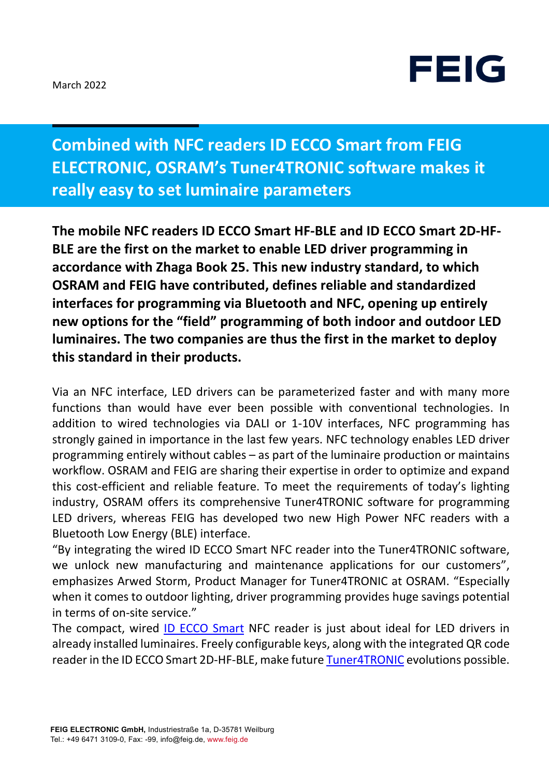

**Combined with NFC readers ID ECCO Smart from FEIG ELECTRONIC, OSRAM's Tuner4TRONIC software makes it really easy to set luminaire parameters**

**The mobile NFC readers ID ECCO Smart HF-BLE and ID ECCO Smart 2D-HF-BLE are the first on the market to enable LED driver programming in accordance with Zhaga Book 25. This new industry standard, to which OSRAM and FEIG have contributed, defines reliable and standardized interfaces for programming via Bluetooth and NFC, opening up entirely new options for the "field" programming of both indoor and outdoor LED luminaires. The two companies are thus the first in the market to deploy this standard in their products.** 

Via an NFC interface, LED drivers can be parameterized faster and with many more functions than would have ever been possible with conventional technologies. In addition to wired technologies via DALI or 1-10V interfaces, NFC programming has strongly gained in importance in the last few years. NFC technology enables LED driver programming entirely without cables – as part of the luminaire production or maintains workflow. OSRAM and FEIG are sharing their expertise in order to optimize and expand this cost-efficient and reliable feature. To meet the requirements of today's lighting industry, OSRAM offers its comprehensive Tuner4TRONIC software for programming LED drivers, whereas FEIG has developed two new High Power NFC readers with a Bluetooth Low Energy (BLE) interface.

"By integrating the wired ID ECCO Smart NFC reader into the Tuner4TRONIC software, we unlock new manufacturing and maintenance applications for our customers", emphasizes Arwed Storm, Product Manager for Tuner4TRONIC at OSRAM. "Especially when it comes to outdoor lighting, driver programming provides huge savings potential in terms of on-site service."

The compact, wired ID ECCO Smart NFC reader is just about ideal for LED drivers in already installed luminaires. Freely configurable keys, along with the integrated QR code reader in the ID ECCO Smart 2D-HF-BLE, make future Tuner4TRONIC evolutions possible.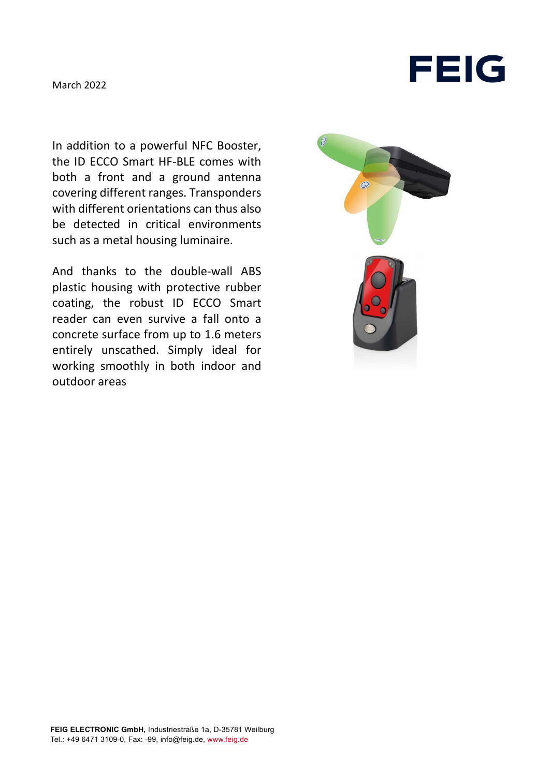

In addition to a powerful NFC Booster, the ID ECCO Smart HF-BLE comes with both a front and a ground antenna covering different ranges. Transponders with different orientations can thus also be detected in critical environments such as a metal housing luminaire.

And thanks to the double-wall ABS plastic housing with protective rubber coating, the robust ID ECCO Smart reader can even survive a fall onto a concrete surface from up to 1.6 meters entirely unscathed. Simply ideal for working smoothly in both indoor and outdoor areas